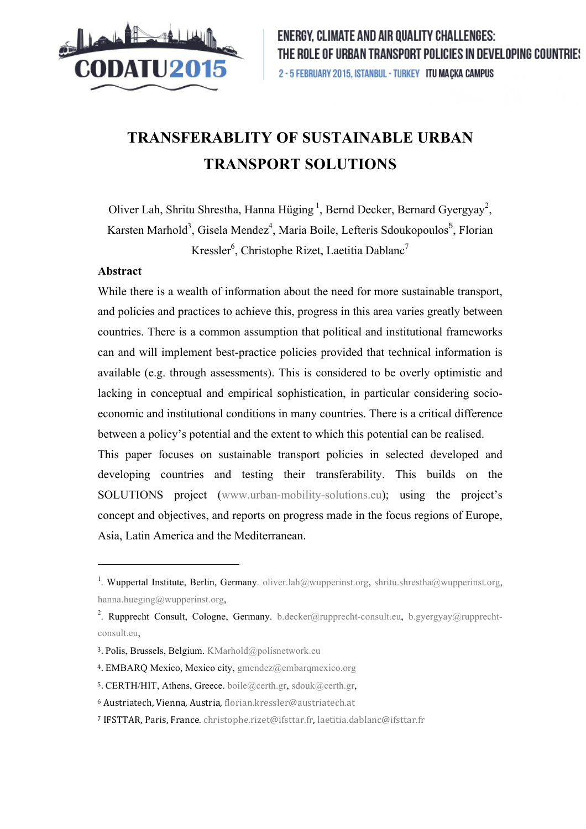

# **TRANSFERABLITY OF SUSTAINABLE URBAN TRANSPORT SOLUTIONS**

Oliver Lah, Shritu Shrestha, Hanna Hüging<sup>1</sup>, Bernd Decker, Bernard Gyergyay<sup>2</sup>, Karsten Marhold<sup>3</sup>, Gisela Mendez<sup>4</sup>, Maria Boile, Lefteris Sdoukopoulos<sup>5</sup>, Florian Kressler<sup>6</sup>, Christophe Rizet, Laetitia Dablanc<sup>7</sup>

### **Abstract**

 $\overline{a}$ 

While there is a wealth of information about the need for more sustainable transport, and policies and practices to achieve this, progress in this area varies greatly between countries. There is a common assumption that political and institutional frameworks can and will implement best-practice policies provided that technical information is available (e.g. through assessments). This is considered to be overly optimistic and lacking in conceptual and empirical sophistication, in particular considering socioeconomic and institutional conditions in many countries. There is a critical difference between a policy's potential and the extent to which this potential can be realised.

This paper focuses on sustainable transport policies in selected developed and developing countries and testing their transferability. This builds on the SOLUTIONS project (www.urban-mobility-solutions.eu); using the project's concept and objectives, and reports on progress made in the focus regions of Europe, Asia, Latin America and the Mediterranean.

<sup>&</sup>lt;sup>1</sup>. Wuppertal Institute, Berlin, Germany. oliver.lah@wupperinst.org, shritu.shrestha@wupperinst.org, hanna.hueging@wupperinst.org,

<sup>&</sup>lt;sup>2</sup>. Rupprecht Consult, Cologne, Germany. b.decker@rupprecht-consult.eu, b.gyergyay@rupprechtconsult.eu,

<sup>3.</sup> Polis, Brussels, Belgium. KMarhold@polisnetwork.eu

<sup>4.</sup> EMBARQ Mexico, Mexico city, gmendez@embarqmexico.org

<sup>5.</sup> CERTH/HIT, Athens, Greece. boile@certh.gr, sdouk@certh.gr,

<sup>6</sup> Austriatech,!Vienna,!Austria,!florian.kressler@austriatech.at

<sup>&</sup>lt;sup>7</sup> IFSTTAR, Paris, France. christophe.rizet@ifsttar.fr, laetitia.dablanc@ifsttar.fr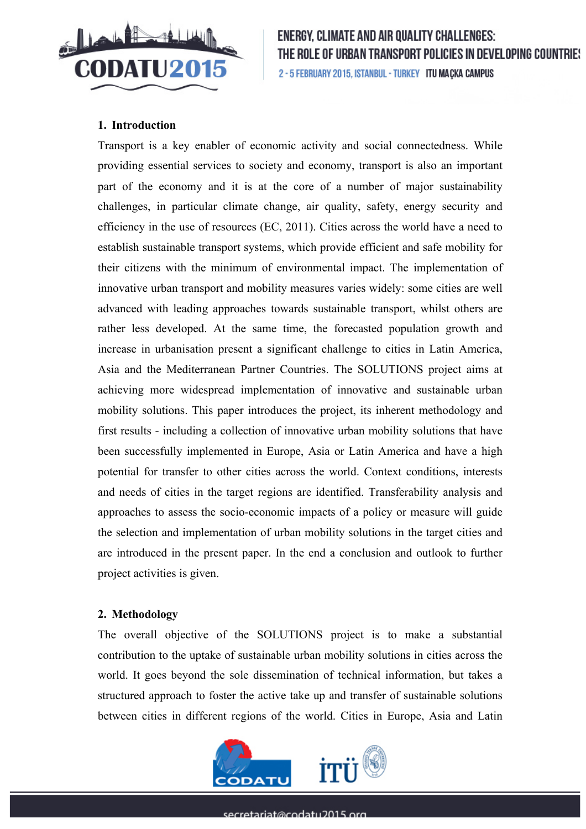

## **1. Introduction**

Transport is a key enabler of economic activity and social connectedness. While providing essential services to society and economy, transport is also an important part of the economy and it is at the core of a number of major sustainability challenges, in particular climate change, air quality, safety, energy security and efficiency in the use of resources (EC, 2011). Cities across the world have a need to establish sustainable transport systems, which provide efficient and safe mobility for their citizens with the minimum of environmental impact. The implementation of innovative urban transport and mobility measures varies widely: some cities are well advanced with leading approaches towards sustainable transport, whilst others are rather less developed. At the same time, the forecasted population growth and increase in urbanisation present a significant challenge to cities in Latin America, Asia and the Mediterranean Partner Countries. The SOLUTIONS project aims at achieving more widespread implementation of innovative and sustainable urban mobility solutions. This paper introduces the project, its inherent methodology and first results - including a collection of innovative urban mobility solutions that have been successfully implemented in Europe, Asia or Latin America and have a high potential for transfer to other cities across the world. Context conditions, interests and needs of cities in the target regions are identified. Transferability analysis and approaches to assess the socio-economic impacts of a policy or measure will guide the selection and implementation of urban mobility solutions in the target cities and are introduced in the present paper. In the end a conclusion and outlook to further project activities is given.

## **2. Methodology**

The overall objective of the SOLUTIONS project is to make a substantial contribution to the uptake of sustainable urban mobility solutions in cities across the world. It goes beyond the sole dissemination of technical information, but takes a structured approach to foster the active take up and transfer of sustainable solutions between cities in different regions of the world. Cities in Europe, Asia and Latin

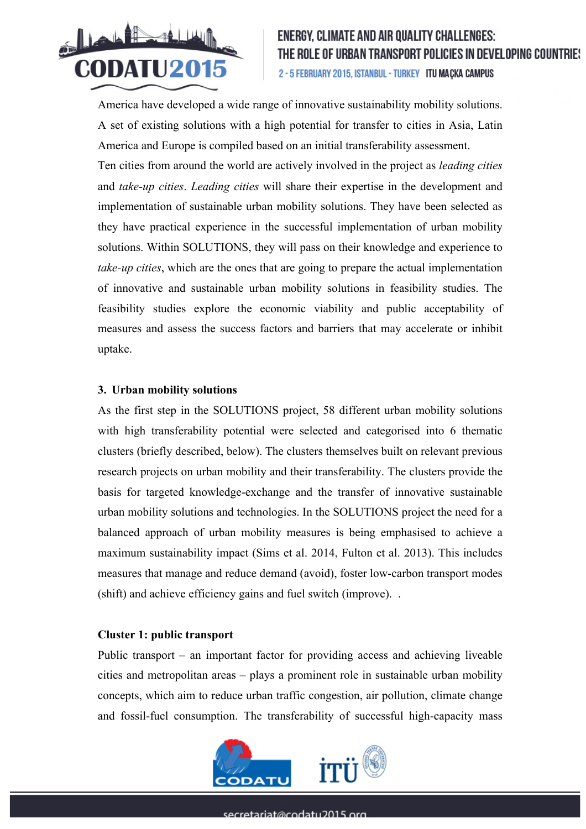

America have developed a wide range of innovative sustainability mobility solutions. A set of existing solutions with a high potential for transfer to cities in Asia, Latin America and Europe is compiled based on an initial transferability assessment.

Ten cities from around the world are actively involved in the project as *leading cities*  and *take-up cities*. *Leading cities* will share their expertise in the development and implementation of sustainable urban mobility solutions. They have been selected as they have practical experience in the successful implementation of urban mobility solutions. Within SOLUTIONS, they will pass on their knowledge and experience to *take-up cities*, which are the ones that are going to prepare the actual implementation of innovative and sustainable urban mobility solutions in feasibility studies. The feasibility studies explore the economic viability and public acceptability of measures and assess the success factors and barriers that may accelerate or inhibit uptake.

#### **3. Urban mobility solutions**

As the first step in the SOLUTIONS project, 58 different urban mobility solutions with high transferability potential were selected and categorised into 6 thematic clusters (briefly described, below). The clusters themselves built on relevant previous research projects on urban mobility and their transferability. The clusters provide the basis for targeted knowledge-exchange and the transfer of innovative sustainable urban mobility solutions and technologies. In the SOLUTIONS project the need for a balanced approach of urban mobility measures is being emphasised to achieve a maximum sustainability impact (Sims et al. 2014, Fulton et al. 2013). This includes measures that manage and reduce demand (avoid), foster low-carbon transport modes (shift) and achieve efficiency gains and fuel switch (improve). .

#### **Cluster 1: public transport**

Public transport – an important factor for providing access and achieving liveable cities and metropolitan areas – plays a prominent role in sustainable urban mobility concepts, which aim to reduce urban traffic congestion, air pollution, climate change and fossil-fuel consumption. The transferability of successful high-capacity mass

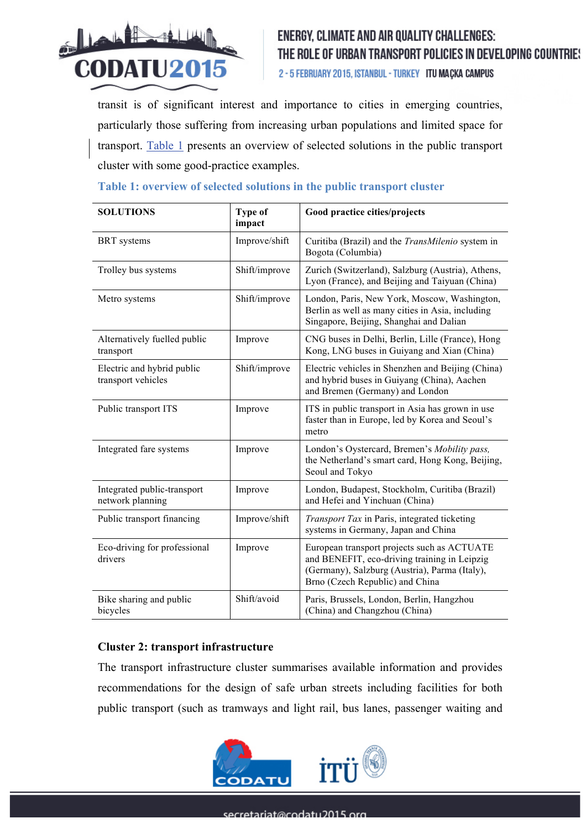

2 - 5 FEBRUARY 2015, ISTANBUL - TURKEY ITU MAÇKA CAMPUS

transit is of significant interest and importance to cities in emerging countries, particularly those suffering from increasing urban populations and limited space for transport. Table 1 presents an overview of selected solutions in the public transport cluster with some good-practice examples.

| <b>SOLUTIONS</b>                                 | Type of<br>impact | Good practice cities/projects                                                                                                                                                   |
|--------------------------------------------------|-------------------|---------------------------------------------------------------------------------------------------------------------------------------------------------------------------------|
| <b>BRT</b> systems                               | Improve/shift     | Curitiba (Brazil) and the <i>TransMilenio</i> system in<br>Bogota (Columbia)                                                                                                    |
| Trolley bus systems                              | Shift/improve     | Zurich (Switzerland), Salzburg (Austria), Athens,<br>Lyon (France), and Beijing and Taiyuan (China)                                                                             |
| Metro systems                                    | Shift/improve     | London, Paris, New York, Moscow, Washington,<br>Berlin as well as many cities in Asia, including<br>Singapore, Beijing, Shanghai and Dalian                                     |
| Alternatively fuelled public<br>transport        | Improve           | CNG buses in Delhi, Berlin, Lille (France), Hong<br>Kong, LNG buses in Guiyang and Xian (China)                                                                                 |
| Electric and hybrid public<br>transport vehicles | Shift/improve     | Electric vehicles in Shenzhen and Beijing (China)<br>and hybrid buses in Guiyang (China), Aachen<br>and Bremen (Germany) and London                                             |
| Public transport ITS                             | Improve           | ITS in public transport in Asia has grown in use<br>faster than in Europe, led by Korea and Seoul's<br>metro                                                                    |
| Integrated fare systems                          | Improve           | London's Oystercard, Bremen's Mobility pass,<br>the Netherland's smart card, Hong Kong, Beijing,<br>Seoul and Tokyo                                                             |
| Integrated public-transport<br>network planning  | Improve           | London, Budapest, Stockholm, Curitiba (Brazil)<br>and Hefei and Yinchuan (China)                                                                                                |
| Public transport financing                       | Improve/shift     | Transport Tax in Paris, integrated ticketing<br>systems in Germany, Japan and China                                                                                             |
| Eco-driving for professional<br>drivers          | Improve           | European transport projects such as ACTUATE<br>and BENEFIT, eco-driving training in Leipzig<br>(Germany), Salzburg (Austria), Parma (Italy),<br>Brno (Czech Republic) and China |
| Bike sharing and public<br>bicycles              | Shift/avoid       | Paris, Brussels, London, Berlin, Hangzhou<br>(China) and Changzhou (China)                                                                                                      |

### **Table 1: overview of selected solutions in the public transport cluster**

#### **Cluster 2: transport infrastructure**

The transport infrastructure cluster summarises available information and provides recommendations for the design of safe urban streets including facilities for both public transport (such as tramways and light rail, bus lanes, passenger waiting and

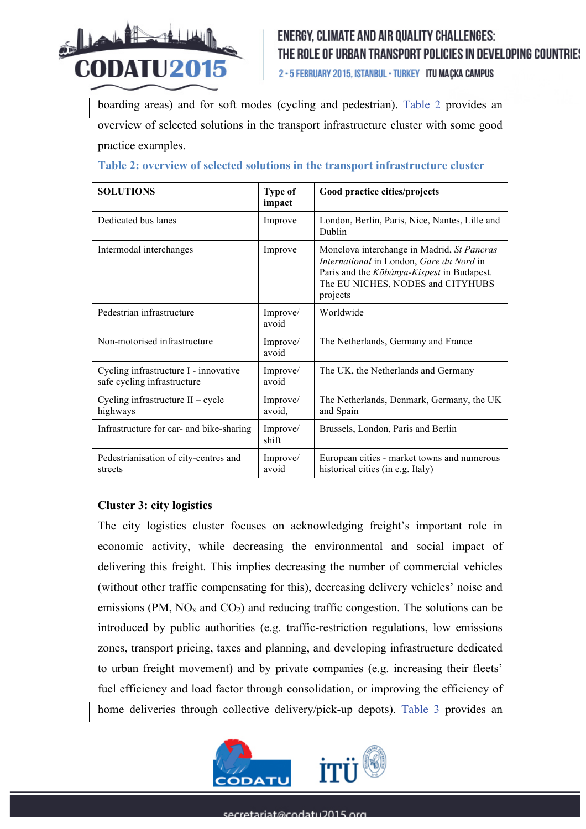

2 - 5 FEBRUARY 2015, ISTANBUL - TURKEY ITU MAÇKA CAMPUS

boarding areas) and for soft modes (cycling and pedestrian). Table 2 provides an overview of selected solutions in the transport infrastructure cluster with some good practice examples.

| <b>SOLUTIONS</b>                                                     | <b>Type of</b><br>impact | Good practice cities/projects                                                                                                                                                         |
|----------------------------------------------------------------------|--------------------------|---------------------------------------------------------------------------------------------------------------------------------------------------------------------------------------|
| Dedicated bus lanes                                                  | Improve                  | London, Berlin, Paris, Nice, Nantes, Lille and<br>Dublin                                                                                                                              |
| Intermodal interchanges                                              | Improve                  | Monclova interchange in Madrid, St Pancras<br>International in London, Gare du Nord in<br>Paris and the Köbánya-Kispest in Budapest.<br>The EU NICHES, NODES and CITYHUBS<br>projects |
| Pedestrian infrastructure                                            | Improve/<br>avoid        | Worldwide                                                                                                                                                                             |
| Non-motorised infrastructure                                         | Improve/<br>avoid        | The Netherlands, Germany and France                                                                                                                                                   |
| Cycling infrastructure I - innovative<br>safe cycling infrastructure | Improve/<br>avoid        | The UK, the Netherlands and Germany                                                                                                                                                   |
| Cycling infrastructure $II - cycle$<br>highways                      | Improve/<br>avoid,       | The Netherlands, Denmark, Germany, the UK<br>and Spain                                                                                                                                |
| Infrastructure for car- and bike-sharing                             | Improve/<br>shift        | Brussels, London, Paris and Berlin                                                                                                                                                    |
| Pedestrianisation of city-centres and<br>streets                     | Improve/<br>avoid        | European cities - market towns and numerous<br>historical cities (in e.g. Italy)                                                                                                      |

### **Table 2: overview of selected solutions in the transport infrastructure cluster**

## **Cluster 3: city logistics**

The city logistics cluster focuses on acknowledging freight's important role in economic activity, while decreasing the environmental and social impact of delivering this freight. This implies decreasing the number of commercial vehicles (without other traffic compensating for this), decreasing delivery vehicles' noise and emissions (PM,  $NO<sub>x</sub>$  and  $CO<sub>2</sub>$ ) and reducing traffic congestion. The solutions can be introduced by public authorities (e.g. traffic-restriction regulations, low emissions zones, transport pricing, taxes and planning, and developing infrastructure dedicated to urban freight movement) and by private companies (e.g. increasing their fleets' fuel efficiency and load factor through consolidation, or improving the efficiency of home deliveries through collective delivery/pick-up depots). Table 3 provides an

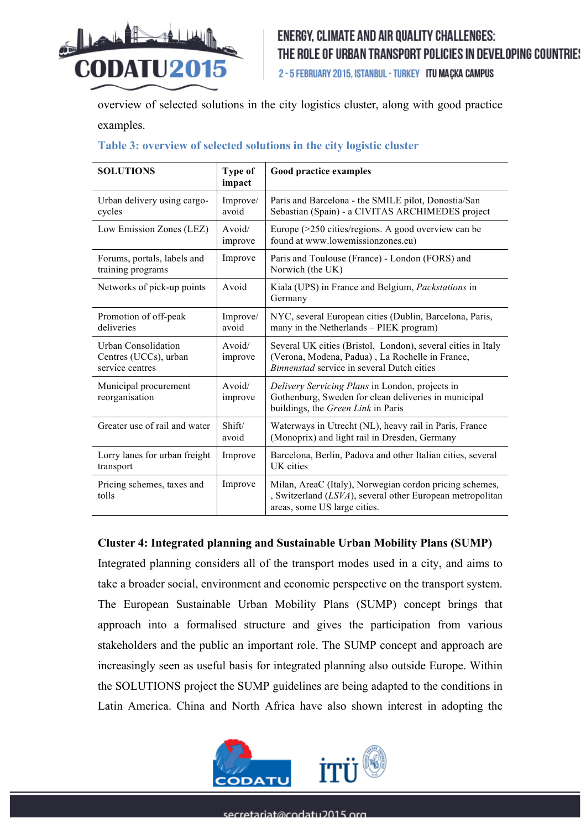

2 - 5 FEBRUARY 2015, ISTANBUL - TURKEY ITU MACKA CAMPUS

overview of selected solutions in the city logistics cluster, along with good practice examples.

## **Table 3: overview of selected solutions in the city logistic cluster**

| <b>SOLUTIONS</b>                                                | Type of<br>impact | <b>Good practice examples</b>                                                                                                                                 |
|-----------------------------------------------------------------|-------------------|---------------------------------------------------------------------------------------------------------------------------------------------------------------|
| Urban delivery using cargo-<br>cycles                           | Improve/<br>avoid | Paris and Barcelona - the SMILE pilot, Donostia/San<br>Sebastian (Spain) - a CIVITAS ARCHIMEDES project                                                       |
| Low Emission Zones (LEZ)                                        | Avoid/<br>improve | Europe (>250 cities/regions. A good overview can be<br>found at www.lowemissionzones.eu)                                                                      |
| Forums, portals, labels and<br>training programs                | Improve           | Paris and Toulouse (France) - London (FORS) and<br>Norwich (the UK)                                                                                           |
| Networks of pick-up points                                      | Avoid             | Kiala (UPS) in France and Belgium, <i>Packstations</i> in<br>Germany                                                                                          |
| Promotion of off-peak<br>deliveries                             | Improve/<br>avoid | NYC, several European cities (Dublin, Barcelona, Paris,<br>many in the Netherlands - PIEK program)                                                            |
| Urban Consolidation<br>Centres (UCCs), urban<br>service centres | Avoid/<br>improve | Several UK cities (Bristol, London), several cities in Italy<br>(Verona, Modena, Padua), La Rochelle in France,<br>Binnenstad service in several Dutch cities |
| Municipal procurement<br>reorganisation                         | Avoid/<br>improve | Delivery Servicing Plans in London, projects in<br>Gothenburg, Sweden for clean deliveries in municipal<br>buildings, the Green Link in Paris                 |
| Greater use of rail and water                                   | Shift/<br>avoid   | Waterways in Utrecht (NL), heavy rail in Paris, France<br>(Monoprix) and light rail in Dresden, Germany                                                       |
| Lorry lanes for urban freight<br>transport                      | Improve           | Barcelona, Berlin, Padova and other Italian cities, several<br>UK cities                                                                                      |
| Pricing schemes, taxes and<br>tolls                             | Improve           | Milan, AreaC (Italy), Norwegian cordon pricing schemes,<br>, Switzerland (LSVA), several other European metropolitan<br>areas, some US large cities.          |

## **Cluster 4: Integrated planning and Sustainable Urban Mobility Plans (SUMP)**

Integrated planning considers all of the transport modes used in a city, and aims to take a broader social, environment and economic perspective on the transport system. The European Sustainable Urban Mobility Plans (SUMP) concept brings that approach into a formalised structure and gives the participation from various stakeholders and the public an important role. The SUMP concept and approach are increasingly seen as useful basis for integrated planning also outside Europe. Within the SOLUTIONS project the SUMP guidelines are being adapted to the conditions in Latin America. China and North Africa have also shown interest in adopting the

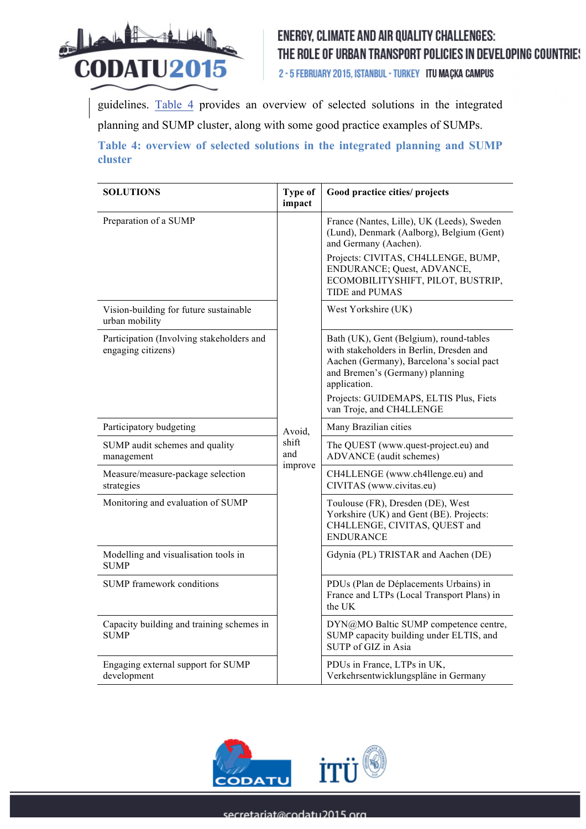

2 - 5 FEBRUARY 2015, ISTANBUL - TURKEY ITU MAÇKA CAMPUS

guidelines. Table 4 provides an overview of selected solutions in the integrated planning and SUMP cluster, along with some good practice examples of SUMPs.

**Table 4: overview of selected solutions in the integrated planning and SUMP cluster**

| <b>SOLUTIONS</b>                                                | <b>Type of</b><br>impact | Good practice cities/ projects                                                                                                                                                                                                                            |
|-----------------------------------------------------------------|--------------------------|-----------------------------------------------------------------------------------------------------------------------------------------------------------------------------------------------------------------------------------------------------------|
| Preparation of a SUMP                                           |                          | France (Nantes, Lille), UK (Leeds), Sweden<br>(Lund), Denmark (Aalborg), Belgium (Gent)<br>and Germany (Aachen).                                                                                                                                          |
|                                                                 |                          | Projects: CIVITAS, CH4LLENGE, BUMP,<br>ENDURANCE; Quest, ADVANCE,<br>ECOMOBILITYSHIFT, PILOT, BUSTRIP,<br><b>TIDE</b> and PUMAS                                                                                                                           |
| Vision-building for future sustainable<br>urban mobility        |                          | West Yorkshire (UK)                                                                                                                                                                                                                                       |
| Participation (Involving stakeholders and<br>engaging citizens) |                          | Bath (UK), Gent (Belgium), round-tables<br>with stakeholders in Berlin, Dresden and<br>Aachen (Germany), Barcelona's social pact<br>and Bremen's (Germany) planning<br>application.<br>Projects: GUIDEMAPS, ELTIS Plus, Fiets<br>van Troje, and CH4LLENGE |
| Participatory budgeting                                         | Avoid,                   | Many Brazilian cities                                                                                                                                                                                                                                     |
| SUMP audit schemes and quality<br>management                    | shift<br>and             | The QUEST (www.quest-project.eu) and<br>ADVANCE (audit schemes)                                                                                                                                                                                           |
| Measure/measure-package selection<br>strategies                 | improve                  | CH4LLENGE (www.ch4llenge.eu) and<br>CIVITAS (www.civitas.eu)                                                                                                                                                                                              |
| Monitoring and evaluation of SUMP                               |                          | Toulouse (FR), Dresden (DE), West<br>Yorkshire (UK) and Gent (BE). Projects:<br>CH4LLENGE, CIVITAS, QUEST and<br><b>ENDURANCE</b>                                                                                                                         |
| Modelling and visualisation tools in<br><b>SUMP</b>             |                          | Gdynia (PL) TRISTAR and Aachen (DE)                                                                                                                                                                                                                       |
| <b>SUMP</b> framework conditions                                |                          | PDUs (Plan de Déplacements Urbains) in<br>France and LTPs (Local Transport Plans) in<br>the UK                                                                                                                                                            |
| Capacity building and training schemes in<br><b>SUMP</b>        |                          | DYN@MO Baltic SUMP competence centre,<br>SUMP capacity building under ELTIS, and<br>SUTP of GIZ in Asia                                                                                                                                                   |
| Engaging external support for SUMP<br>development               |                          | PDUs in France, LTPs in UK,<br>Verkehrsentwicklungspläne in Germany                                                                                                                                                                                       |

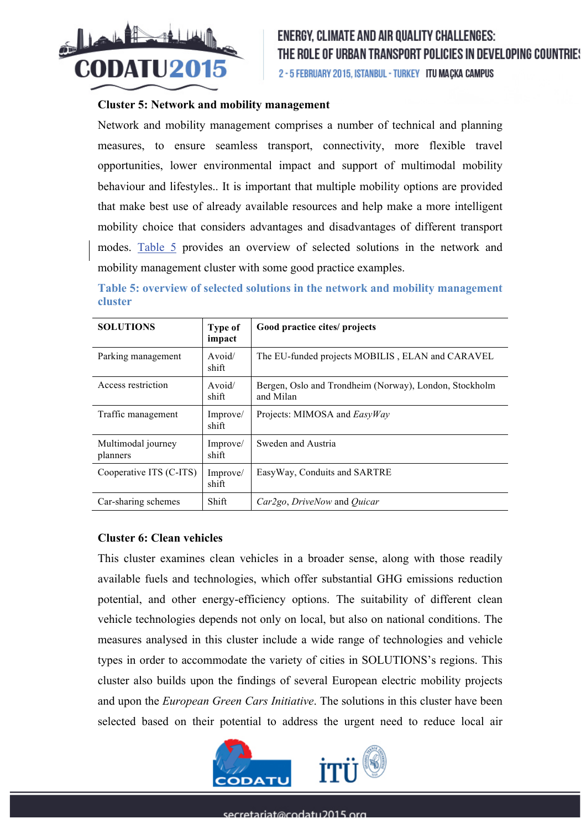

#### **Cluster 5: Network and mobility management**

Network and mobility management comprises a number of technical and planning measures, to ensure seamless transport, connectivity, more flexible travel opportunities, lower environmental impact and support of multimodal mobility behaviour and lifestyles.. It is important that multiple mobility options are provided that make best use of already available resources and help make a more intelligent mobility choice that considers advantages and disadvantages of different transport modes. Table 5 provides an overview of selected solutions in the network and mobility management cluster with some good practice examples.

**Table 5: overview of selected solutions in the network and mobility management cluster**

| <b>SOLUTIONS</b>               | Type of<br>impact | Good practice cites/ projects                                       |
|--------------------------------|-------------------|---------------------------------------------------------------------|
| Parking management             | Avoid/<br>shift   | The EU-funded projects MOBILIS, ELAN and CARAVEL                    |
| Access restriction             | Avoid/<br>shift   | Bergen, Oslo and Trondheim (Norway), London, Stockholm<br>and Milan |
| Traffic management             | Improve/<br>shift | Projects: MIMOSA and <i>EasyWay</i>                                 |
| Multimodal journey<br>planners | Improve/<br>shift | Sweden and Austria                                                  |
| Cooperative ITS (C-ITS)        | Improve/<br>shift | EasyWay, Conduits and SARTRE                                        |
| Car-sharing schemes            | Shift             | Car2go, DriveNow and Quicar                                         |

## **Cluster 6: Clean vehicles**

This cluster examines clean vehicles in a broader sense, along with those readily available fuels and technologies, which offer substantial GHG emissions reduction potential, and other energy-efficiency options. The suitability of different clean vehicle technologies depends not only on local, but also on national conditions. The measures analysed in this cluster include a wide range of technologies and vehicle types in order to accommodate the variety of cities in SOLUTIONS's regions. This cluster also builds upon the findings of several European electric mobility projects and upon the *European Green Cars Initiative*. The solutions in this cluster have been selected based on their potential to address the urgent need to reduce local air

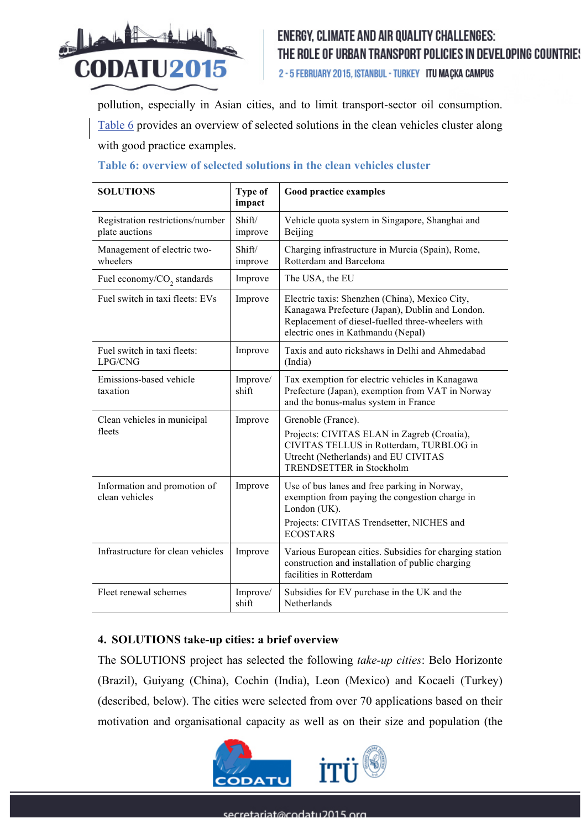

2 - 5 FEBRUARY 2015, ISTANBUL - TURKEY ITU MAÇKA CAMPUS

pollution, especially in Asian cities, and to limit transport-sector oil consumption. Table 6 provides an overview of selected solutions in the clean vehicles cluster along with good practice examples.

| <b>SOLUTIONS</b>                                   | Type of<br>impact | <b>Good practice examples</b>                                                                                                                                                                |
|----------------------------------------------------|-------------------|----------------------------------------------------------------------------------------------------------------------------------------------------------------------------------------------|
| Registration restrictions/number<br>plate auctions | Shift/<br>improve | Vehicle quota system in Singapore, Shanghai and<br>Beijing                                                                                                                                   |
| Management of electric two-<br>wheelers            | Shift/<br>improve | Charging infrastructure in Murcia (Spain), Rome,<br>Rotterdam and Barcelona                                                                                                                  |
| Fuel economy/CO <sub>2</sub> standards             | Improve           | The USA, the EU                                                                                                                                                                              |
| Fuel switch in taxi fleets: EVs                    | Improve           | Electric taxis: Shenzhen (China), Mexico City,<br>Kanagawa Prefecture (Japan), Dublin and London.<br>Replacement of diesel-fuelled three-wheelers with<br>electric ones in Kathmandu (Nepal) |
| Fuel switch in taxi fleets:<br>LPG/CNG             | Improve           | Taxis and auto rickshaws in Delhi and Ahmedabad<br>(India)                                                                                                                                   |
| Emissions-based vehicle<br>taxation                | Improve/<br>shift | Tax exemption for electric vehicles in Kanagawa<br>Prefecture (Japan), exemption from VAT in Norway<br>and the bonus-malus system in France                                                  |
| Clean vehicles in municipal<br>fleets              | Improve           | Grenoble (France).<br>Projects: CIVITAS ELAN in Zagreb (Croatia),<br>CIVITAS TELLUS in Rotterdam, TURBLOG in<br>Utrecht (Netherlands) and EU CIVITAS<br><b>TRENDSETTER</b> in Stockholm      |
| Information and promotion of<br>clean vehicles     | Improve           | Use of bus lanes and free parking in Norway,<br>exemption from paying the congestion charge in<br>London (UK).<br>Projects: CIVITAS Trendsetter, NICHES and<br><b>ECOSTARS</b>               |
| Infrastructure for clean vehicles                  | Improve           | Various European cities. Subsidies for charging station<br>construction and installation of public charging<br>facilities in Rotterdam                                                       |
| Fleet renewal schemes                              | Improve/<br>shift | Subsidies for EV purchase in the UK and the<br>Netherlands                                                                                                                                   |

## **Table 6: overview of selected solutions in the clean vehicles cluster**

## **4. SOLUTIONS take-up cities: a brief overview**

The SOLUTIONS project has selected the following *take-up cities*: Belo Horizonte (Brazil), Guiyang (China), Cochin (India), Leon (Mexico) and Kocaeli (Turkey) (described, below). The cities were selected from over 70 applications based on their motivation and organisational capacity as well as on their size and population (the

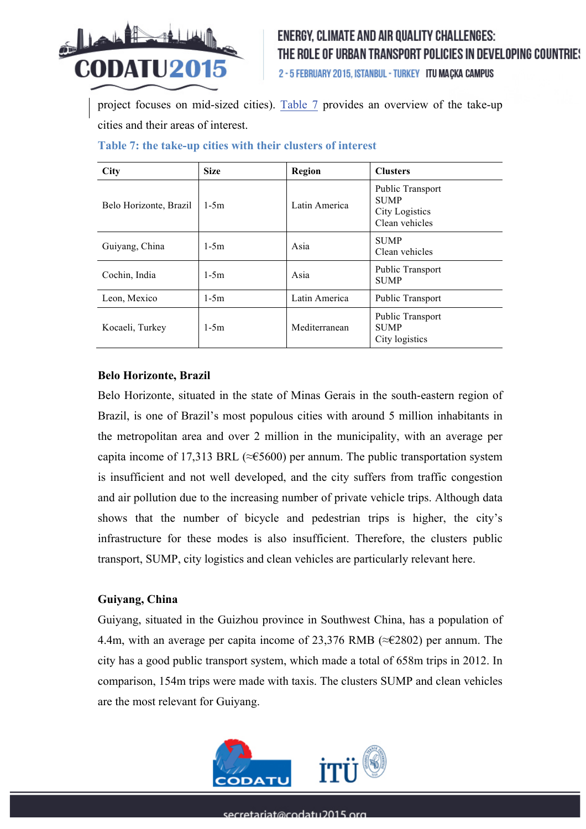

2 - 5 FEBRUARY 2015, ISTANBUL - TURKEY ITU MACKA CAMPUS

project focuses on mid-sized cities). Table 7 provides an overview of the take-up cities and their areas of interest.

| <b>City</b>            | <b>Size</b> | Region        | <b>Clusters</b>                                                     |
|------------------------|-------------|---------------|---------------------------------------------------------------------|
| Belo Horizonte, Brazil | $1-5m$      | Latin America | Public Transport<br><b>SUMP</b><br>City Logistics<br>Clean vehicles |
| Guiyang, China         | $1 - 5m$    | Asia          | <b>SUMP</b><br>Clean vehicles                                       |
| Cochin, India          | $1-5m$      | Asia          | Public Transport<br><b>SUMP</b>                                     |
| Leon, Mexico           | $1-5m$      | Latin America | Public Transport                                                    |
| Kocaeli, Turkey        | $1-5m$      | Mediterranean | Public Transport<br><b>SUMP</b><br>City logistics                   |

### **Table 7: the take-up cities with their clusters of interest**

### **Belo Horizonte, Brazil**

Belo Horizonte, situated in the state of Minas Gerais in the south-eastern region of Brazil, is one of Brazil's most populous cities with around 5 million inhabitants in the metropolitan area and over 2 million in the municipality, with an average per capita income of 17,313 BRL ( $\approx$  £5600) per annum. The public transportation system is insufficient and not well developed, and the city suffers from traffic congestion and air pollution due to the increasing number of private vehicle trips. Although data shows that the number of bicycle and pedestrian trips is higher, the city's infrastructure for these modes is also insufficient. Therefore, the clusters public transport, SUMP, city logistics and clean vehicles are particularly relevant here.

## **Guiyang, China**

Guiyang, situated in the Guizhou province in Southwest China, has a population of 4.4m, with an average per capita income of 23,376 RMB (≈€2802) per annum. The city has a good public transport system, which made a total of 658m trips in 2012. In comparison, 154m trips were made with taxis. The clusters SUMP and clean vehicles are the most relevant for Guiyang.

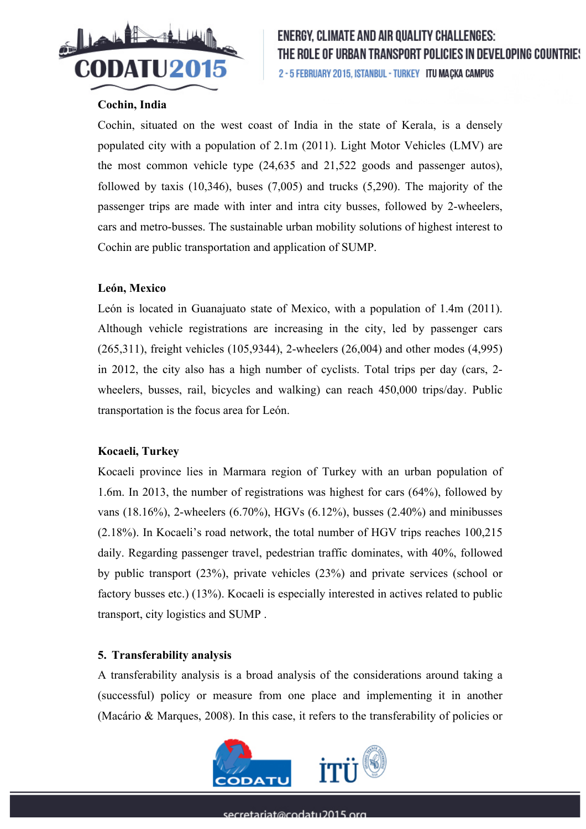

## **Cochin, India**

Cochin, situated on the west coast of India in the state of Kerala, is a densely populated city with a population of 2.1m (2011). Light Motor Vehicles (LMV) are the most common vehicle type (24,635 and 21,522 goods and passenger autos), followed by taxis  $(10,346)$ , buses  $(7,005)$  and trucks  $(5,290)$ . The majority of the passenger trips are made with inter and intra city busses, followed by 2-wheelers, cars and metro-busses. The sustainable urban mobility solutions of highest interest to Cochin are public transportation and application of SUMP.

## **León, Mexico**

León is located in Guanajuato state of Mexico, with a population of 1.4m (2011). Although vehicle registrations are increasing in the city, led by passenger cars (265,311), freight vehicles (105,9344), 2-wheelers (26,004) and other modes (4,995) in 2012, the city also has a high number of cyclists. Total trips per day (cars, 2 wheelers, busses, rail, bicycles and walking) can reach 450,000 trips/day. Public transportation is the focus area for León.

## **Kocaeli, Turkey**

Kocaeli province lies in Marmara region of Turkey with an urban population of 1.6m. In 2013, the number of registrations was highest for cars (64%), followed by vans (18.16%), 2-wheelers (6.70%), HGVs (6.12%), busses (2.40%) and minibusses (2.18%). In Kocaeli's road network, the total number of HGV trips reaches 100,215 daily. Regarding passenger travel, pedestrian traffic dominates, with 40%, followed by public transport (23%), private vehicles (23%) and private services (school or factory busses etc.) (13%). Kocaeli is especially interested in actives related to public transport, city logistics and SUMP .

## **5. Transferability analysis**

A transferability analysis is a broad analysis of the considerations around taking a (successful) policy or measure from one place and implementing it in another (Macário & Marques, 2008). In this case, it refers to the transferability of policies or

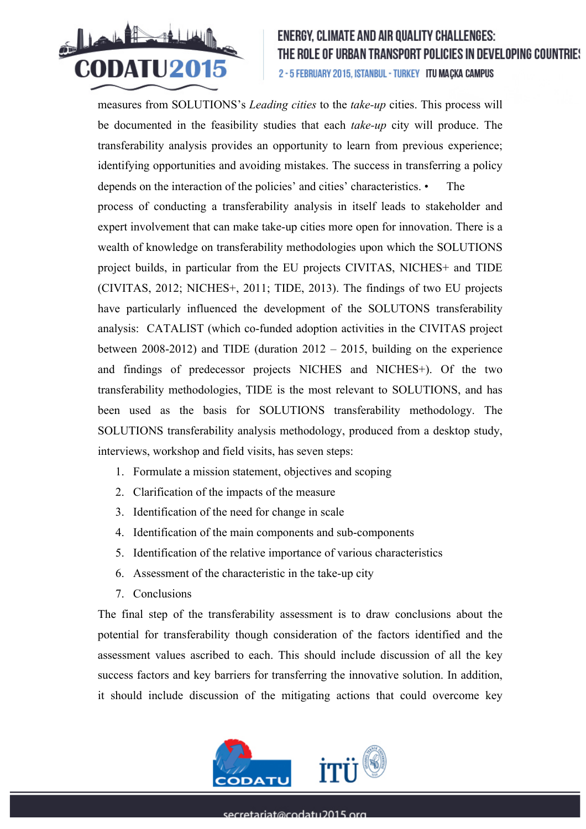

measures from SOLUTIONS's *Leading cities* to the *take-up* cities. This process will be documented in the feasibility studies that each *take-up* city will produce. The transferability analysis provides an opportunity to learn from previous experience; identifying opportunities and avoiding mistakes. The success in transferring a policy depends on the interaction of the policies' and cities' characteristics. • The process of conducting a transferability analysis in itself leads to stakeholder and expert involvement that can make take-up cities more open for innovation. There is a wealth of knowledge on transferability methodologies upon which the SOLUTIONS project builds, in particular from the EU projects CIVITAS, NICHES+ and TIDE (CIVITAS, 2012; NICHES+, 2011; TIDE, 2013). The findings of two EU projects have particularly influenced the development of the SOLUTONS transferability analysis: CATALIST (which co-funded adoption activities in the CIVITAS project between 2008-2012) and TIDE (duration 2012 – 2015, building on the experience and findings of predecessor projects NICHES and NICHES+). Of the two transferability methodologies, TIDE is the most relevant to SOLUTIONS, and has been used as the basis for SOLUTIONS transferability methodology. The SOLUTIONS transferability analysis methodology, produced from a desktop study, interviews, workshop and field visits, has seven steps:

- 1. Formulate a mission statement, objectives and scoping
- 2. Clarification of the impacts of the measure
- 3. Identification of the need for change in scale
- 4. Identification of the main components and sub-components
- 5. Identification of the relative importance of various characteristics
- 6. Assessment of the characteristic in the take-up city
- 7. Conclusions

The final step of the transferability assessment is to draw conclusions about the potential for transferability though consideration of the factors identified and the assessment values ascribed to each. This should include discussion of all the key success factors and key barriers for transferring the innovative solution. In addition, it should include discussion of the mitigating actions that could overcome key

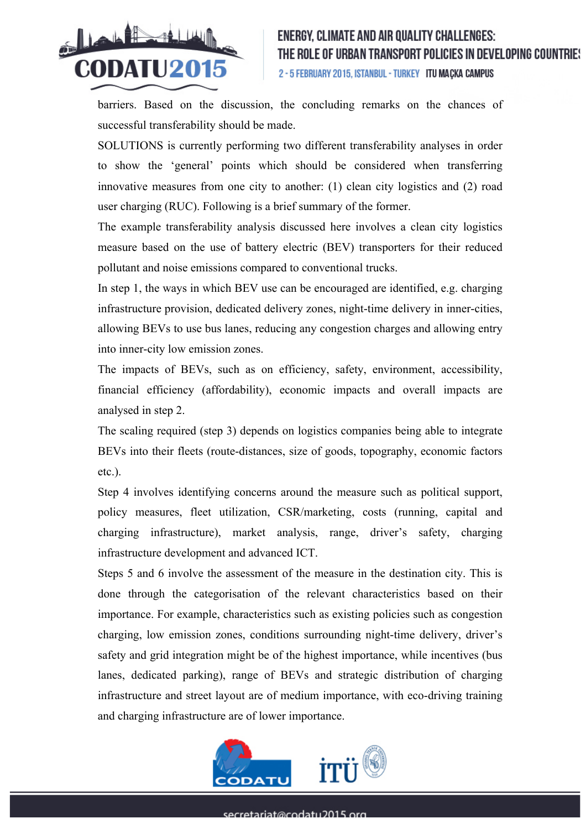

barriers. Based on the discussion, the concluding remarks on the chances of successful transferability should be made.

SOLUTIONS is currently performing two different transferability analyses in order to show the 'general' points which should be considered when transferring innovative measures from one city to another: (1) clean city logistics and (2) road user charging (RUC). Following is a brief summary of the former.

The example transferability analysis discussed here involves a clean city logistics measure based on the use of battery electric (BEV) transporters for their reduced pollutant and noise emissions compared to conventional trucks.

In step 1, the ways in which BEV use can be encouraged are identified, e.g. charging infrastructure provision, dedicated delivery zones, night-time delivery in inner-cities, allowing BEVs to use bus lanes, reducing any congestion charges and allowing entry into inner-city low emission zones.

The impacts of BEVs, such as on efficiency, safety, environment, accessibility, financial efficiency (affordability), economic impacts and overall impacts are analysed in step 2.

The scaling required (step 3) depends on logistics companies being able to integrate BEVs into their fleets (route-distances, size of goods, topography, economic factors etc.).

Step 4 involves identifying concerns around the measure such as political support, policy measures, fleet utilization, CSR/marketing, costs (running, capital and charging infrastructure), market analysis, range, driver's safety, charging infrastructure development and advanced ICT.

Steps 5 and 6 involve the assessment of the measure in the destination city. This is done through the categorisation of the relevant characteristics based on their importance. For example, characteristics such as existing policies such as congestion charging, low emission zones, conditions surrounding night-time delivery, driver's safety and grid integration might be of the highest importance, while incentives (bus lanes, dedicated parking), range of BEVs and strategic distribution of charging infrastructure and street layout are of medium importance, with eco-driving training and charging infrastructure are of lower importance.

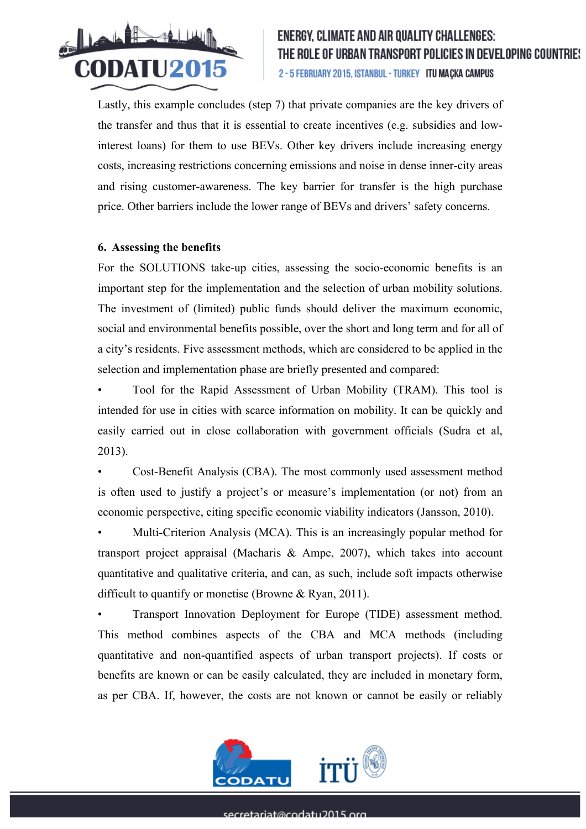

Lastly, this example concludes (step 7) that private companies are the key drivers of the transfer and thus that it is essential to create incentives (e.g. subsidies and lowinterest loans) for them to use BEVs. Other key drivers include increasing energy costs, increasing restrictions concerning emissions and noise in dense inner-city areas and rising customer-awareness. The key barrier for transfer is the high purchase price. Other barriers include the lower range of BEVs and drivers' safety concerns.

### **6. Assessing the benefits**

For the SOLUTIONS take-up cities, assessing the socio-economic benefits is an important step for the implementation and the selection of urban mobility solutions. The investment of (limited) public funds should deliver the maximum economic, social and environmental benefits possible, over the short and long term and for all of a city's residents. Five assessment methods, which are considered to be applied in the selection and implementation phase are briefly presented and compared:

• Tool for the Rapid Assessment of Urban Mobility (TRAM). This tool is intended for use in cities with scarce information on mobility. It can be quickly and easily carried out in close collaboration with government officials (Sudra et al, 2013).

• Cost-Benefit Analysis (CBA). The most commonly used assessment method is often used to justify a project's or measure's implementation (or not) from an economic perspective, citing specific economic viability indicators (Jansson, 2010).

• Multi-Criterion Analysis (MCA). This is an increasingly popular method for transport project appraisal (Macharis & Ampe, 2007), which takes into account quantitative and qualitative criteria, and can, as such, include soft impacts otherwise difficult to quantify or monetise (Browne & Ryan, 2011).

• Transport Innovation Deployment for Europe (TIDE) assessment method. This method combines aspects of the CBA and MCA methods (including quantitative and non-quantified aspects of urban transport projects). If costs or benefits are known or can be easily calculated, they are included in monetary form, as per CBA. If, however, the costs are not known or cannot be easily or reliably

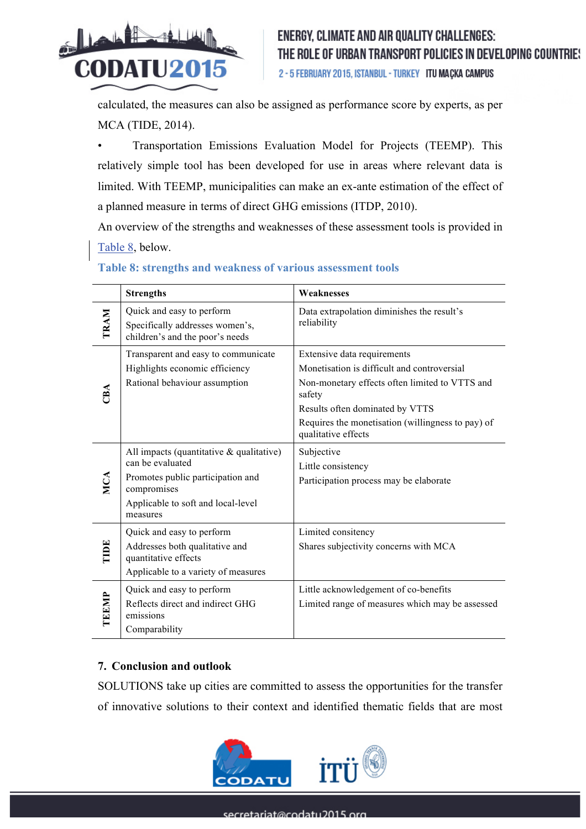

calculated, the measures can also be assigned as performance score by experts, as per MCA (TIDE, 2014).

• Transportation Emissions Evaluation Model for Projects (TEEMP). This relatively simple tool has been developed for use in areas where relevant data is limited. With TEEMP, municipalities can make an ex-ante estimation of the effect of a planned measure in terms of direct GHG emissions (ITDP, 2010).

An overview of the strengths and weaknesses of these assessment tools is provided in Table 8, below.

|       | <b>Strengths</b>                                                                                                                                                      | Weaknesses                                                                                                                                                                                                                                            |  |
|-------|-----------------------------------------------------------------------------------------------------------------------------------------------------------------------|-------------------------------------------------------------------------------------------------------------------------------------------------------------------------------------------------------------------------------------------------------|--|
| TRAM  | Quick and easy to perform<br>Specifically addresses women's,<br>children's and the poor's needs                                                                       | Data extrapolation diminishes the result's<br>reliability                                                                                                                                                                                             |  |
| CBA   | Transparent and easy to communicate<br>Highlights economic efficiency<br>Rational behaviour assumption                                                                | Extensive data requirements<br>Monetisation is difficult and controversial<br>Non-monetary effects often limited to VTTS and<br>safety<br>Results often dominated by VTTS<br>Requires the monetisation (willingness to pay) of<br>qualitative effects |  |
| MCA   | All impacts (quantitative $\&$ qualitative)<br>can be evaluated<br>Promotes public participation and<br>compromises<br>Applicable to soft and local-level<br>measures | Subjective<br>Little consistency<br>Participation process may be elaborate                                                                                                                                                                            |  |
| TIDE  | Quick and easy to perform<br>Addresses both qualitative and<br>quantitative effects<br>Applicable to a variety of measures                                            | Limited consitency<br>Shares subjectivity concerns with MCA                                                                                                                                                                                           |  |
| TEEMP | Quick and easy to perform<br>Reflects direct and indirect GHG<br>emissions<br>Comparability                                                                           | Little acknowledgement of co-benefits<br>Limited range of measures which may be assessed                                                                                                                                                              |  |

## **Table 8: strengths and weakness of various assessment tools**

## **7. Conclusion and outlook**

SOLUTIONS take up cities are committed to assess the opportunities for the transfer of innovative solutions to their context and identified thematic fields that are most

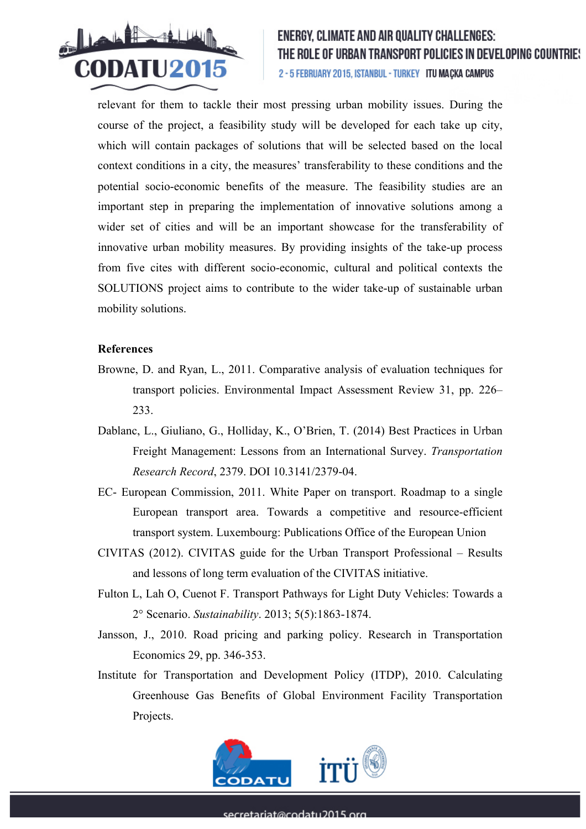

relevant for them to tackle their most pressing urban mobility issues. During the course of the project, a feasibility study will be developed for each take up city, which will contain packages of solutions that will be selected based on the local context conditions in a city, the measures' transferability to these conditions and the potential socio-economic benefits of the measure. The feasibility studies are an important step in preparing the implementation of innovative solutions among a wider set of cities and will be an important showcase for the transferability of innovative urban mobility measures. By providing insights of the take-up process from five cites with different socio-economic, cultural and political contexts the SOLUTIONS project aims to contribute to the wider take-up of sustainable urban mobility solutions.

### **References**

- Browne, D. and Ryan, L., 2011. Comparative analysis of evaluation techniques for transport policies. Environmental Impact Assessment Review 31, pp. 226– 233.
- Dablanc, L., Giuliano, G., Holliday, K., O'Brien, T. (2014) Best Practices in Urban Freight Management: Lessons from an International Survey. *Transportation Research Record*, 2379. DOI 10.3141/2379-04.
- EC- European Commission, 2011. White Paper on transport. Roadmap to a single European transport area. Towards a competitive and resource-efficient transport system. Luxembourg: Publications Office of the European Union
- CIVITAS (2012). CIVITAS guide for the Urban Transport Professional Results and lessons of long term evaluation of the CIVITAS initiative.
- Fulton L, Lah O, Cuenot F. Transport Pathways for Light Duty Vehicles: Towards a 2° Scenario. *Sustainability*. 2013; 5(5):1863-1874.
- Jansson, J., 2010. Road pricing and parking policy. Research in Transportation Economics 29, pp. 346-353.
- Institute for Transportation and Development Policy (ITDP), 2010. Calculating Greenhouse Gas Benefits of Global Environment Facility Transportation Projects.

![](_page_15_Picture_11.jpeg)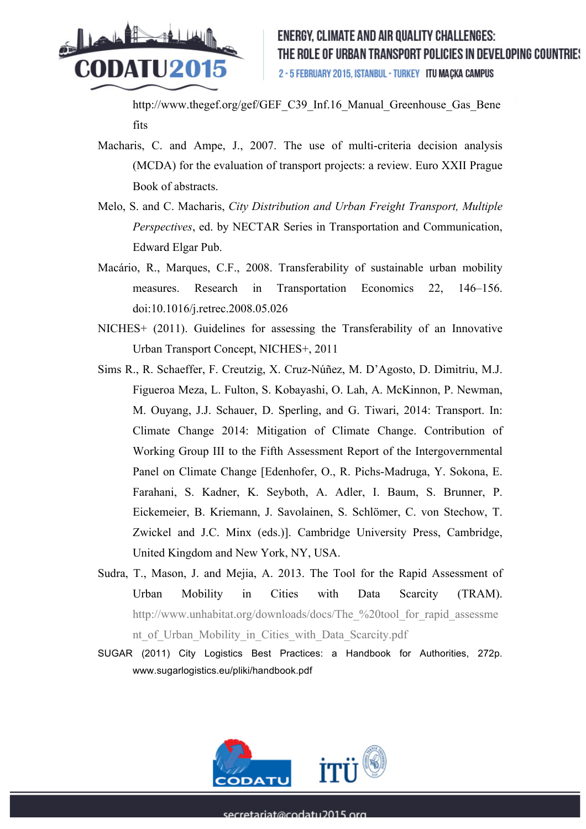![](_page_16_Picture_0.jpeg)

http://www.thegef.org/gef/GEF\_C39\_Inf.16\_Manual\_Greenhouse\_Gas\_Bene fits

- Macharis, C. and Ampe, J., 2007. The use of multi-criteria decision analysis (MCDA) for the evaluation of transport projects: a review. Euro XXII Prague Book of abstracts.
- Melo, S. and C. Macharis, *City Distribution and Urban Freight Transport, Multiple Perspectives*, ed. by NECTAR Series in Transportation and Communication, Edward Elgar Pub.
- Macário, R., Marques, C.F., 2008. Transferability of sustainable urban mobility measures. Research in Transportation Economics 22, 146–156. doi:10.1016/j.retrec.2008.05.026
- NICHES+ (2011). Guidelines for assessing the Transferability of an Innovative Urban Transport Concept, NICHES+, 2011
- Sims R., R. Schaeffer, F. Creutzig, X. Cruz-Núñez, M. D'Agosto, D. Dimitriu, M.J. Figueroa Meza, L. Fulton, S. Kobayashi, O. Lah, A. McKinnon, P. Newman, M. Ouyang, J.J. Schauer, D. Sperling, and G. Tiwari, 2014: Transport. In: Climate Change 2014: Mitigation of Climate Change. Contribution of Working Group III to the Fifth Assessment Report of the Intergovernmental Panel on Climate Change [Edenhofer, O., R. Pichs-Madruga, Y. Sokona, E. Farahani, S. Kadner, K. Seyboth, A. Adler, I. Baum, S. Brunner, P. Eickemeier, B. Kriemann, J. Savolainen, S. Schlömer, C. von Stechow, T. Zwickel and J.C. Minx (eds.)]. Cambridge University Press, Cambridge, United Kingdom and New York, NY, USA.
- Sudra, T., Mason, J. and Mejia, A. 2013. The Tool for the Rapid Assessment of Urban Mobility in Cities with Data Scarcity (TRAM). http://www.unhabitat.org/downloads/docs/The %20tool for rapid assessme nt\_of\_Urban\_Mobility\_in\_Cities\_with\_Data\_Scarcity.pdf
- SUGAR (2011) City Logistics Best Practices: a Handbook for Authorities, 272p. www.sugarlogistics.eu/pliki/handbook.pdf

![](_page_16_Picture_10.jpeg)